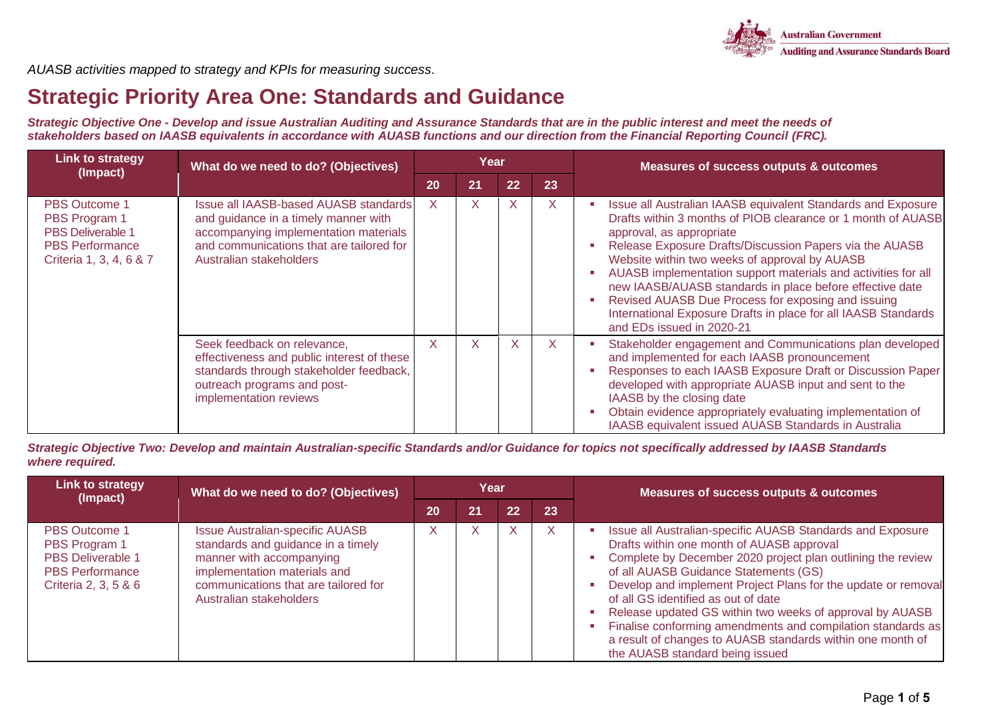

*AUASB activities mapped to strategy and KPIs for measuring success.*

## **Strategic Priority Area One: Standards and Guidance**

*Strategic Objective One - Develop and issue Australian Auditing and Assurance Standards that are in the public interest and meet the needs of stakeholders based on IAASB equivalents in accordance with AUASB functions and our direction from the Financial Reporting Council (FRC).*

| <b>Link to strategy</b><br>(Impact)                                                                                    | What do we need to do? (Objectives)                                                                                                                                                           | Year |    |              | <b>Measures of success outputs &amp; outcomes</b> |                                                                                                                                                                                                                                                                                                                                                                                                                                                                                                                                                        |
|------------------------------------------------------------------------------------------------------------------------|-----------------------------------------------------------------------------------------------------------------------------------------------------------------------------------------------|------|----|--------------|---------------------------------------------------|--------------------------------------------------------------------------------------------------------------------------------------------------------------------------------------------------------------------------------------------------------------------------------------------------------------------------------------------------------------------------------------------------------------------------------------------------------------------------------------------------------------------------------------------------------|
|                                                                                                                        |                                                                                                                                                                                               | 20   | 21 | 22           | 23                                                |                                                                                                                                                                                                                                                                                                                                                                                                                                                                                                                                                        |
| <b>PBS Outcome 1</b><br>PBS Program 1<br><b>PBS Deliverable 1</b><br><b>PBS Performance</b><br>Criteria 1, 3, 4, 6 & 7 | Issue all IAASB-based AUASB standards<br>and guidance in a timely manner with<br>accompanying implementation materials<br>and communications that are tailored for<br>Australian stakeholders | X.   | X  | X            | X                                                 | Issue all Australian IAASB equivalent Standards and Exposure<br>Drafts within 3 months of PIOB clearance or 1 month of AUASB<br>approval, as appropriate<br>Release Exposure Drafts/Discussion Papers via the AUASB<br>Website within two weeks of approval by AUASB<br>AUASB implementation support materials and activities for all<br>new IAASB/AUASB standards in place before effective date<br>Revised AUASB Due Process for exposing and issuing<br>International Exposure Drafts in place for all IAASB Standards<br>and EDs issued in 2020-21 |
|                                                                                                                        | Seek feedback on relevance,<br>effectiveness and public interest of these<br>standards through stakeholder feedback,<br>outreach programs and post-<br>implementation reviews                 | X    | X  | $\mathsf{X}$ | $\mathsf{X}$                                      | Stakeholder engagement and Communications plan developed<br>and implemented for each IAASB pronouncement<br>Responses to each IAASB Exposure Draft or Discussion Paper<br>developed with appropriate AUASB input and sent to the<br>IAASB by the closing date<br>Obtain evidence appropriately evaluating implementation of<br>IAASB equivalent issued AUASB Standards in Australia                                                                                                                                                                    |

*Strategic Objective Two: Develop and maintain Australian-specific Standards and/or Guidance for topics not specifically addressed by IAASB Standards where required.* 

| <b>Link to strategy</b><br>(Impact)                                                                                 | What do we need to do? (Objectives)                                                                                                                                                                         |    | Year |    |              | Measures of success outputs & outcomes                                                                                                                                                                                                                                                                                                                                                                                                                                                                                                              |
|---------------------------------------------------------------------------------------------------------------------|-------------------------------------------------------------------------------------------------------------------------------------------------------------------------------------------------------------|----|------|----|--------------|-----------------------------------------------------------------------------------------------------------------------------------------------------------------------------------------------------------------------------------------------------------------------------------------------------------------------------------------------------------------------------------------------------------------------------------------------------------------------------------------------------------------------------------------------------|
|                                                                                                                     |                                                                                                                                                                                                             | 20 | 21   | 22 | 23           |                                                                                                                                                                                                                                                                                                                                                                                                                                                                                                                                                     |
| <b>PBS Outcome 1</b><br>PBS Program 1<br><b>PBS Deliverable 1</b><br><b>PBS Performance</b><br>Criteria 2, 3, 5 & 6 | <b>Issue Australian-specific AUASB</b><br>standards and guidance in a timely<br>manner with accompanying<br>implementation materials and<br>communications that are tailored for<br>Australian stakeholders |    | X    |    | $\mathsf{X}$ | Issue all Australian-specific AUASB Standards and Exposure<br>Drafts within one month of AUASB approval<br>Complete by December 2020 project plan outlining the review<br>of all AUASB Guidance Statements (GS)<br>Develop and implement Project Plans for the update or removal<br>of all GS identified as out of date<br>Release updated GS within two weeks of approval by AUASB<br>Finalise conforming amendments and compilation standards as<br>a result of changes to AUASB standards within one month of<br>the AUASB standard being issued |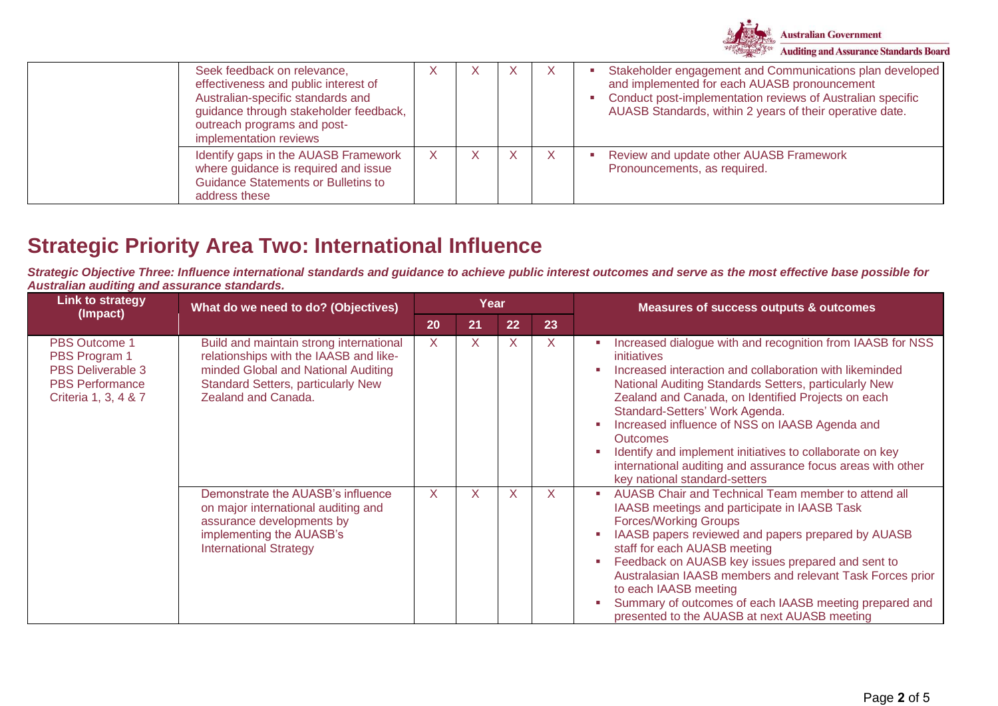

| Seek feedback on relevance,<br>effectiveness and public interest of<br>Australian-specific standards and<br>guidance through stakeholder feedback,<br>outreach programs and post-<br>implementation reviews |  | X | X. | Stakeholder engagement and Communications plan developed<br>and implemented for each AUASB pronouncement<br>Conduct post-implementation reviews of Australian specific<br>AUASB Standards, within 2 years of their operative date. |
|-------------------------------------------------------------------------------------------------------------------------------------------------------------------------------------------------------------|--|---|----|------------------------------------------------------------------------------------------------------------------------------------------------------------------------------------------------------------------------------------|
| Identify gaps in the AUASB Framework<br>where guidance is required and issue<br><b>Guidance Statements or Bulletins to</b><br>address these                                                                 |  |   |    | Review and update other AUASB Framework<br>Pronouncements, as required.                                                                                                                                                            |

## **Strategic Priority Area Two: International Influence**

*Strategic Objective Three: Influence international standards and guidance to achieve public interest outcomes and serve as the most effective base possible for Australian auditing and assurance standards.*

| <b>Link to strategy</b><br>(Impact)                                                                   | What do we need to do? (Objectives)                                                                                                                                                          |              | Year |                         |    | <b>Measures of success outputs &amp; outcomes</b>                                                                                                                                                                                                                                                                                                                                                                                                                                                                                                                                     |
|-------------------------------------------------------------------------------------------------------|----------------------------------------------------------------------------------------------------------------------------------------------------------------------------------------------|--------------|------|-------------------------|----|---------------------------------------------------------------------------------------------------------------------------------------------------------------------------------------------------------------------------------------------------------------------------------------------------------------------------------------------------------------------------------------------------------------------------------------------------------------------------------------------------------------------------------------------------------------------------------------|
|                                                                                                       |                                                                                                                                                                                              | 20           | 21   | 22                      | 23 |                                                                                                                                                                                                                                                                                                                                                                                                                                                                                                                                                                                       |
| PBS Outcome 1<br>PBS Program 1<br>PBS Deliverable 3<br><b>PBS Performance</b><br>Criteria 1, 3, 4 & 7 | Build and maintain strong international<br>relationships with the IAASB and like-<br>minded Global and National Auditing<br><b>Standard Setters, particularly New</b><br>Zealand and Canada. | $\mathsf{X}$ | X    | $\times$                | X  | Increased dialogue with and recognition from IAASB for NSS<br><b>COL</b><br>initiatives<br>Increased interaction and collaboration with likeminded<br>$\mathbf{r}$<br>National Auditing Standards Setters, particularly New<br>Zealand and Canada, on Identified Projects on each<br>Standard-Setters' Work Agenda.<br>Increased influence of NSS on IAASB Agenda and<br>×<br><b>Outcomes</b><br>Identify and implement initiatives to collaborate on key<br>$\overline{\phantom{a}}$<br>international auditing and assurance focus areas with other<br>key national standard-setters |
|                                                                                                       | Demonstrate the AUASB's influence<br>on major international auditing and<br>assurance developments by<br>implementing the AUASB's<br><b>International Strategy</b>                           | X            | X    | $\overline{\mathsf{X}}$ | X  | AUASB Chair and Technical Team member to attend all<br>×.<br>IAASB meetings and participate in IAASB Task<br><b>Forces/Working Groups</b><br>IAASB papers reviewed and papers prepared by AUASB<br>staff for each AUASB meeting<br>Feedback on AUASB key issues prepared and sent to<br>×<br>Australasian IAASB members and relevant Task Forces prior<br>to each IAASB meeting<br>Summary of outcomes of each IAASB meeting prepared and<br>presented to the AUASB at next AUASB meeting                                                                                             |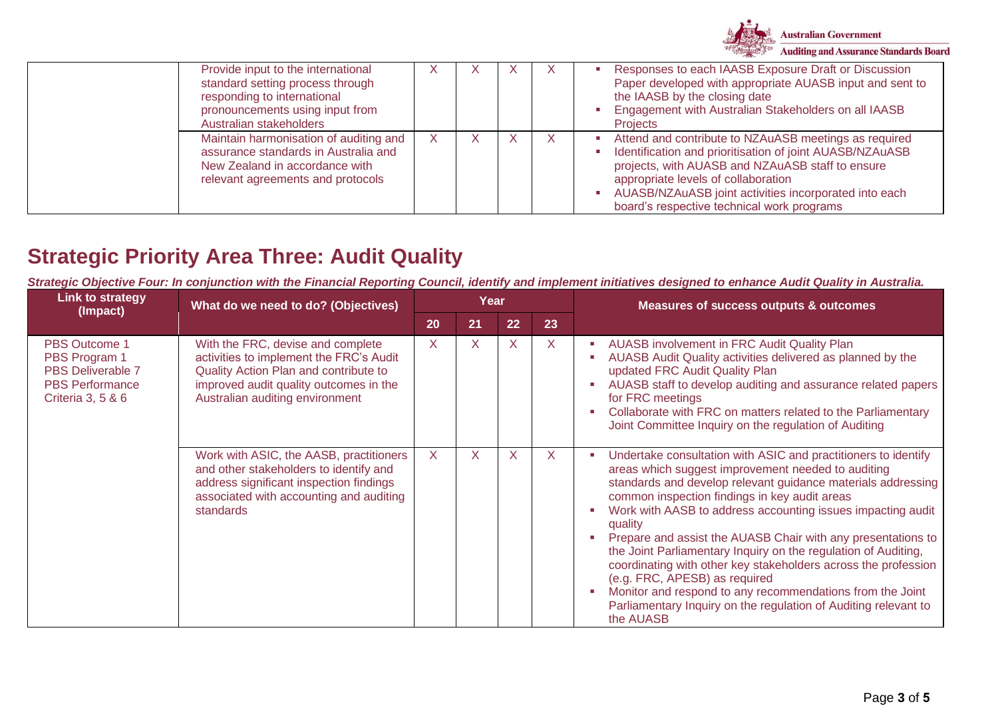

| Provide input to the international<br>standard setting process through<br>responding to international<br>pronouncements using input from<br>Australian stakeholders | X | $\lambda$ | X | Responses to each IAASB Exposure Draft or Discussion<br>Paper developed with appropriate AUASB input and sent to<br>the IAASB by the closing date<br>Engagement with Australian Stakeholders on all IAASB<br><b>Projects</b>                                                                                        |
|---------------------------------------------------------------------------------------------------------------------------------------------------------------------|---|-----------|---|---------------------------------------------------------------------------------------------------------------------------------------------------------------------------------------------------------------------------------------------------------------------------------------------------------------------|
| Maintain harmonisation of auditing and<br>assurance standards in Australia and<br>New Zealand in accordance with<br>relevant agreements and protocols               | X |           |   | Attend and contribute to NZAuASB meetings as required<br>Identification and prioritisation of joint AUASB/NZAuASB<br>projects, with AUASB and NZAuASB staff to ensure<br>appropriate levels of collaboration<br>AUASB/NZAuASB joint activities incorporated into each<br>board's respective technical work programs |

# **Strategic Priority Area Three: Audit Quality**

*Strategic Objective Four: In conjunction with the Financial Reporting Council, identify and implement initiatives designed to enhance Audit Quality in Australia.*

| <b>Link to strategy</b><br>(Impact)                                                                              | What do we need to do? (Objectives)                                                                                                                                                                |    | Year |    |    | <b>Measures of success outputs &amp; outcomes</b>                                                                                                                                                                                                                                                                                                                                                                                                                                                                                                                                                                                                                                                 |
|------------------------------------------------------------------------------------------------------------------|----------------------------------------------------------------------------------------------------------------------------------------------------------------------------------------------------|----|------|----|----|---------------------------------------------------------------------------------------------------------------------------------------------------------------------------------------------------------------------------------------------------------------------------------------------------------------------------------------------------------------------------------------------------------------------------------------------------------------------------------------------------------------------------------------------------------------------------------------------------------------------------------------------------------------------------------------------------|
|                                                                                                                  |                                                                                                                                                                                                    | 20 | 21   | 22 | 23 |                                                                                                                                                                                                                                                                                                                                                                                                                                                                                                                                                                                                                                                                                                   |
| <b>PBS Outcome 1</b><br>PBS Program 1<br><b>PBS Deliverable 7</b><br><b>PBS Performance</b><br>Criteria 3, 5 & 6 | With the FRC, devise and complete<br>activities to implement the FRC's Audit<br>Quality Action Plan and contribute to<br>improved audit quality outcomes in the<br>Australian auditing environment | X. | X    | X  | X  | AUASB involvement in FRC Audit Quality Plan<br>AUASB Audit Quality activities delivered as planned by the<br>updated FRC Audit Quality Plan<br>AUASB staff to develop auditing and assurance related papers<br>for FRC meetings<br>Collaborate with FRC on matters related to the Parliamentary<br>Joint Committee Inquiry on the regulation of Auditing                                                                                                                                                                                                                                                                                                                                          |
|                                                                                                                  | Work with ASIC, the AASB, practitioners<br>and other stakeholders to identify and<br>address significant inspection findings<br>associated with accounting and auditing<br>standards               | X. | X    | X  | X  | Undertake consultation with ASIC and practitioners to identify<br>areas which suggest improvement needed to auditing<br>standards and develop relevant guidance materials addressing<br>common inspection findings in key audit areas<br>Work with AASB to address accounting issues impacting audit<br>quality<br>Prepare and assist the AUASB Chair with any presentations to<br>the Joint Parliamentary Inquiry on the regulation of Auditing,<br>coordinating with other key stakeholders across the profession<br>(e.g. FRC, APESB) as required<br>Monitor and respond to any recommendations from the Joint<br>Parliamentary Inquiry on the regulation of Auditing relevant to<br>the AUASB |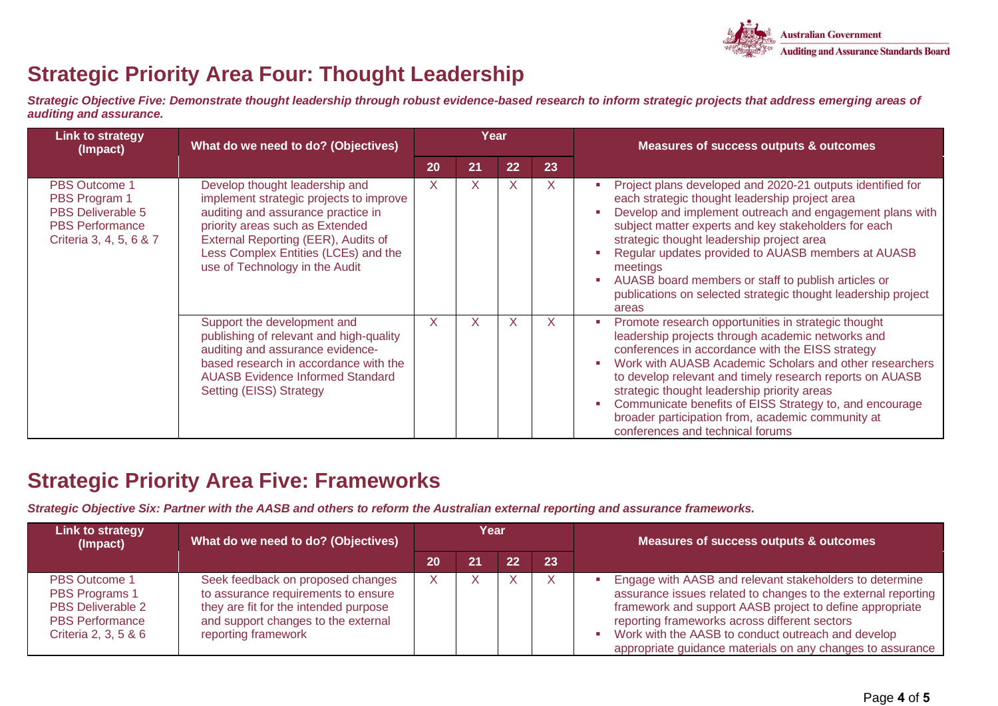

## **Strategic Priority Area Four: Thought Leadership**

*Strategic Objective Five: Demonstrate thought leadership through robust evidence-based research to inform strategic projects that address emerging areas of auditing and assurance.*

| <b>Link to strategy</b><br>(Impact)                                                                                    | What do we need to do? (Objectives)                                                                                                                                                                                                                                 |    | Year         |              |    | <b>Measures of success outputs &amp; outcomes</b>                                                                                                                                                                                                                                                                                                                                                                                                                                                     |  |
|------------------------------------------------------------------------------------------------------------------------|---------------------------------------------------------------------------------------------------------------------------------------------------------------------------------------------------------------------------------------------------------------------|----|--------------|--------------|----|-------------------------------------------------------------------------------------------------------------------------------------------------------------------------------------------------------------------------------------------------------------------------------------------------------------------------------------------------------------------------------------------------------------------------------------------------------------------------------------------------------|--|
|                                                                                                                        |                                                                                                                                                                                                                                                                     | 20 | 21           | 22           | 23 |                                                                                                                                                                                                                                                                                                                                                                                                                                                                                                       |  |
| <b>PBS Outcome 1</b><br>PBS Program 1<br><b>PBS Deliverable 5</b><br><b>PBS Performance</b><br>Criteria 3, 4, 5, 6 & 7 | Develop thought leadership and<br>implement strategic projects to improve<br>auditing and assurance practice in<br>priority areas such as Extended<br>External Reporting (EER), Audits of<br>Less Complex Entities (LCEs) and the<br>use of Technology in the Audit | X. | $\mathsf{X}$ | $\mathsf{X}$ | X. | Project plans developed and 2020-21 outputs identified for<br>each strategic thought leadership project area<br>Develop and implement outreach and engagement plans with<br>subject matter experts and key stakeholders for each<br>strategic thought leadership project area<br>Regular updates provided to AUASB members at AUASB<br>meetings<br>AUASB board members or staff to publish articles or<br>publications on selected strategic thought leadership project<br>areas                      |  |
|                                                                                                                        | Support the development and<br>publishing of relevant and high-quality<br>auditing and assurance evidence-<br>based research in accordance with the<br><b>AUASB Evidence Informed Standard</b><br>Setting (EISS) Strategy                                           | X  | X            | $\times$     |    | Promote research opportunities in strategic thought<br>×<br>leadership projects through academic networks and<br>conferences in accordance with the EISS strategy<br>Work with AUASB Academic Scholars and other researchers<br>п<br>to develop relevant and timely research reports on AUASB<br>strategic thought leadership priority areas<br>Communicate benefits of EISS Strategy to, and encourage<br>×<br>broader participation from, academic community at<br>conferences and technical forums |  |

#### **Strategic Priority Area Five: Frameworks**

*Strategic Objective Six: Partner with the AASB and others to reform the Australian external reporting and assurance frameworks.* 

| Link to strategy<br>(Impact)                                                                                  | What do we need to do? (Objectives)                                                                                                                                             | Year |    |    |    | Measures of success outputs & outcomes                                                                                                                                                                                                                                                                                                                          |  |
|---------------------------------------------------------------------------------------------------------------|---------------------------------------------------------------------------------------------------------------------------------------------------------------------------------|------|----|----|----|-----------------------------------------------------------------------------------------------------------------------------------------------------------------------------------------------------------------------------------------------------------------------------------------------------------------------------------------------------------------|--|
|                                                                                                               |                                                                                                                                                                                 | 20   | 21 | 22 | 23 |                                                                                                                                                                                                                                                                                                                                                                 |  |
| <b>PBS Outcome 1</b><br>PBS Programs 1<br>PBS Deliverable 2<br><b>PBS Performance</b><br>Criteria 2, 3, 5 & 6 | Seek feedback on proposed changes<br>to assurance requirements to ensure<br>they are fit for the intended purpose<br>and support changes to the external<br>reporting framework |      |    |    |    | Engage with AASB and relevant stakeholders to determine<br>assurance issues related to changes to the external reporting<br>framework and support AASB project to define appropriate<br>reporting frameworks across different sectors<br>Work with the AASB to conduct outreach and develop<br>a.<br>appropriate guidance materials on any changes to assurance |  |